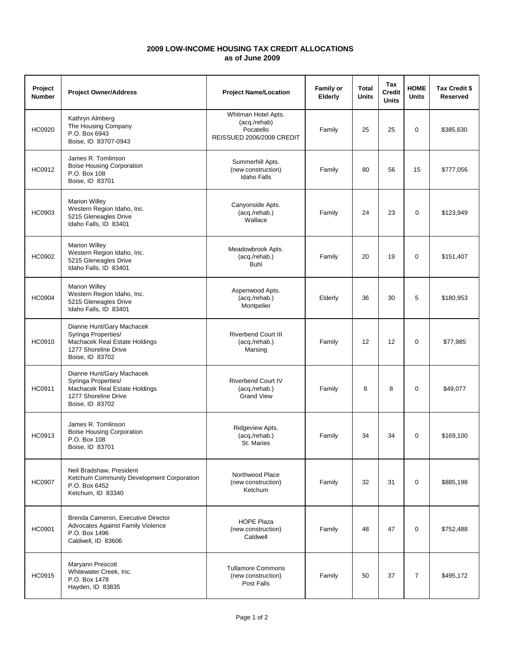## **as of June 2009 2009 LOW-INCOME HOUSING TAX CREDIT ALLOCATIONS**

| Project<br><b>Number</b> | <b>Project Owner/Address</b>                                                                                                 | <b>Project Name/Location</b>                                                  | <b>Family or</b><br>Elderly | Total<br><b>Units</b> | Tax<br><b>Credit</b><br><b>Units</b> | <b>HOME</b><br><b>Units</b> | Tax Credit \$<br><b>Reserved</b> |
|--------------------------|------------------------------------------------------------------------------------------------------------------------------|-------------------------------------------------------------------------------|-----------------------------|-----------------------|--------------------------------------|-----------------------------|----------------------------------|
| HC0920                   | Kathryn Almberg<br>The Housing Company<br>P.O. Box 6943<br>Boise, ID 83707-0943                                              | Whitman Hotel Apts.<br>(acq./rehab)<br>Pocatello<br>REISSUED 2006/2008 CREDIT | Family                      | 25                    | 25                                   | $\mathbf 0$                 | \$385,630                        |
| HC0912                   | James R. Tomlinson<br><b>Boise Housing Corporation</b><br>P.O. Box 108<br>Boise, ID 83701                                    | Summerhill Apts.<br>(new construction)<br><b>Idaho Falls</b>                  | Family                      | 80                    | 56                                   | 15                          | \$777,056                        |
| HC0903                   | <b>Marion Willey</b><br>Western Region Idaho, Inc.<br>5215 Gleneagles Drive<br>Idaho Falls, ID 83401                         | Canyonside Apts.<br>(acq./rehab.)<br>Wallace                                  | Family                      | 24                    | 23                                   | $\mathbf 0$                 | \$123,949                        |
| <b>HC0902</b>            | <b>Marion Willey</b><br>Western Region Idaho, Inc.<br>5215 Gleneagles Drive<br>Idaho Falls, ID 83401                         | Meadowbrook Apts.<br>(acq./rehab.)<br><b>Buhl</b>                             | Family                      | 20                    | 19                                   | $\mathbf 0$                 | \$151,407                        |
| <b>HC0904</b>            | <b>Marion Willey</b><br>Western Region Idaho, Inc.<br>5215 Gleneagles Drive<br>Idaho Falls, ID 83401                         | Aspenwood Apts.<br>(acq./rehab.)<br>Montpelier                                | Elderly                     | 36                    | 30                                   | 5                           | \$180,953                        |
| <b>HC0910</b>            | Dianne Hunt/Gary Machacek<br>Syringa Properties/<br>Machacek Real Estate Holdings<br>1277 Shoreline Drive<br>Boise, ID 83702 | <b>Riverbend Court III</b><br>(acq./rehab.)<br>Marsing                        | Family                      | $12 \overline{ }$     | 12                                   | $\mathbf 0$                 | \$77,985                         |
| HC0911                   | Dianne Hunt/Gary Machacek<br>Syringa Properties/<br>Machacek Real Estate Holdings<br>1277 Shoreline Drive<br>Boise, ID 83702 | <b>Riverbend Court IV</b><br>(acq./rehab.)<br><b>Grand View</b>               | Family                      | 8                     | 8                                    | 0                           | \$49,077                         |
| HC0913                   | James R. Tomlinson<br><b>Boise Housing Corporation</b><br>P.O. Box 108<br>Boise, ID 83701                                    | Ridgeview Apts.<br>(acq./rehab.)<br>St. Maries                                | Family                      | 34                    | 34                                   | 0                           | \$169,100                        |
| <b>HC0907</b>            | Neil Bradshaw, President<br>Ketchum Community Development Corporation<br>P.O. Box 6452<br>Ketchum, ID 83340                  | Northwood Place<br>(new construction)<br>Ketchum                              | Family                      | 32                    | 31                                   | $\mathbf 0$                 | \$885,198                        |
| <b>HC0901</b>            | Brenda Cameron, Executive Director<br>Advocates Against Family Violence<br>P.O. Box 1496<br>Caldwell, ID 83606               | <b>HOPE Plaza</b><br>(new construction)<br>Caldwell                           | Family                      | 48                    | 47                                   | $\mathbf 0$                 | \$752,488                        |
| <b>HC0915</b>            | Maryann Prescott<br>Whitewater Creek, Inc.<br>P.O. Box 1478<br>Hayden, ID 83835                                              | <b>Tullamore Commons</b><br>(new construction)<br>Post Falls                  | Family                      | 50                    | 37                                   | $\overline{7}$              | \$495,172                        |